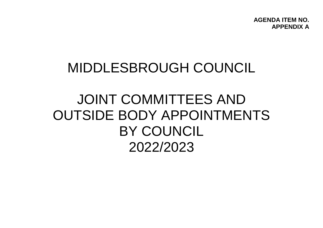**AGENDA ITEM NO. APPENDIX A**

## MIDDLESBROUGH COUNCIL

# JOINT COMMITTEES AND OUTSIDE BODY APPOINTMENTS BY COUNCIL 2022/2023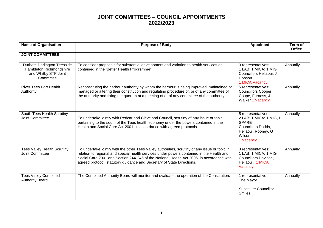| <b>Name of Organisation</b>                                                                | <b>Purpose of Body</b>                                                                                                                                                                                                                                                                                                                                            | <b>Appointed</b>                                                                                                                         | Term of<br><b>Office</b> |
|--------------------------------------------------------------------------------------------|-------------------------------------------------------------------------------------------------------------------------------------------------------------------------------------------------------------------------------------------------------------------------------------------------------------------------------------------------------------------|------------------------------------------------------------------------------------------------------------------------------------------|--------------------------|
| <b>JOINT COMMITTEES</b>                                                                    |                                                                                                                                                                                                                                                                                                                                                                   |                                                                                                                                          |                          |
| Durham Darlington Teesside<br>Hambleton Richmondshire<br>and Whitby STP Joint<br>Committee | To consider proposals for substantial development and variation to health services as<br>contained in the 'Better Health Programme'                                                                                                                                                                                                                               | 3 representatives:<br>1 LAB: 1 MICA: 1 MIG<br>Councillors Hellaoui, J<br><b>Hobson</b><br>1 MICA Vacancy                                 | Annually                 |
| <b>River Tees Port Health</b><br>Authority                                                 | Reconstituting the harbour authority by whom the harbour is being improved, maintained or<br>managed or altering their constitution and regulating procedure of, or of any committee of<br>the authority and fixing the quorum at a meeting of or of any committee of the authority.                                                                              | 5 representatives:<br>Councillors Cooper,<br>Coupe, Furness, J<br><b>Walker 1 Vacancy</b>                                                | Annually                 |
| South Tees Health Scrutiny<br><b>Joint Committee</b>                                       | To undertake jointly with Redcar and Cleveland Council, scrutiny of any issue or topic<br>pertaining to the south of the Tees health economy under the powers contained in the<br>Health and Social Care Act 2001, in accordance with agreed protocols.                                                                                                           | 5 representatives:<br>2 LAB: 1 MICA: 1 MIG, I<br><b>SPARE</b><br><b>Councillors Dodds,</b><br>Hellaoui, Rooney, G<br>Wilson<br>1 Vacancy | Annually                 |
| <b>Tees Valley Health Scrutiny</b><br><b>Joint Committee</b>                               | To undertake jointly with the other Tees Valley authorities, scrutiny of any issue or topic in<br>relation to regional and special health services under powers contained in the Health and<br>Social Care 2001 and Section 244-245 of the National Health Act 2006, in accordance with<br>agreed protocol, statutory guidance and Secretary of State Directions. | 3 representatives:<br>1 LAB: 1 MICA: 1 MIG<br>Councillors Davison,<br>Hellaoui, 1 MICA<br>Vacancy                                        | Annually                 |
| <b>Tees Valley Combined</b><br><b>Authority Board</b>                                      | The Combined Authority Board will monitor and evaluate the operation of the Constitution.                                                                                                                                                                                                                                                                         | 1 representative:<br>The Mayor<br><b>Substitute Councillor</b><br><b>Smiles</b>                                                          | Annually                 |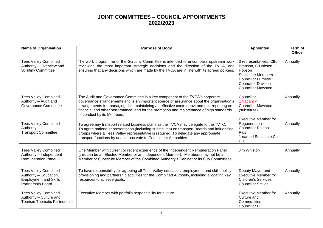| <b>Name of Organisation</b>                                                                                | <b>Purpose of Body</b>                                                                                                                                                                                                                                                                                                                                                                            | <b>Appointed</b>                                                                                                                                                               | Term of<br><b>Office</b> |
|------------------------------------------------------------------------------------------------------------|---------------------------------------------------------------------------------------------------------------------------------------------------------------------------------------------------------------------------------------------------------------------------------------------------------------------------------------------------------------------------------------------------|--------------------------------------------------------------------------------------------------------------------------------------------------------------------------------|--------------------------|
| <b>Tees Valley Combined</b><br>Authority - Overview and<br><b>Scrutiny Committee</b>                       | The work programme of the Scrutiny Committee is intended to encompass upstream work<br>reviewing the most important strategic decisions and the direction of the TVCA, and<br>ensuring that any decisions which are made by the TVCA are in line with its agreed policies.                                                                                                                        | 3 representatives: Cllr,<br>Branson, C Hobson, J<br>Hobson<br><b>Substitute Members</b><br><b>Councillor Furness</b><br><b>Councillor Davison</b><br><b>Councillor Mawston</b> | Annually                 |
| <b>Tees Valley Combined</b><br>Authority - Audit and<br>Governance Committee                               | The Audit and Governance Committee is a key component of the TVCA's corporate<br>governance arrangements and is an important source of assurance about the organisation's<br>arrangements for managing risk, maintaining an effective control environment; reporting on<br>financial and other performance; and for the promotion and maintenance of high standards<br>of conduct by its Members. | Councillor<br>1 Vacancy<br><b>Councillor Mawston</b><br>(substitute)                                                                                                           | Annually                 |
| <b>Tees Valley Combined</b><br>Authority -<br><b>Transport Committee</b>                                   | To agree any transport related business plans as the TVCA may delegate to the TVTC.<br>To agree national representation (including substitutes) on transport Boards and influencing<br>groups where a Tees Valley representative is required. To delegate any appropriate<br>transport functions by unanimous vote to Constituent Authorities.                                                    | <b>Executive Member for</b><br>Regeneration -<br><b>Councillor Polano</b><br>Plus<br>1 named Substitute Cllr<br>Hill                                                           | Annually                 |
| <b>Tees Valley Combined</b><br>Authority - Independent<br><b>Remuneration Panel</b>                        | One Member with current or recent experience of the Independent Remuneration Panel<br>(this can be an Elected Member or an Independent Member). Members may not be a<br>Member or Substitute Member of the Combined Authority's Cabinet or its Sub Committees                                                                                                                                     | Jim Whiston                                                                                                                                                                    | Annually                 |
| <b>Tees Valley Combined</b><br>Authority - Education,<br><b>Employment and Skills</b><br>Partnership Board | To have responsibility for agreeing all Tees Valley education, employment and skills policy,<br>provisioning and partnership activities for the Combined Authority, including allocating key<br>resources to achieve goals.                                                                                                                                                                       | Deputy Mayor and<br><b>Executive Member for</b><br><b>Children's Services</b><br><b>Councillor Smiles</b>                                                                      | Annually                 |
| <b>Tees Valley Combined</b><br>Authority - Culture and<br><b>Tourism Thematic Partnership</b>              | Executive Member with portfolio responsibility for culture                                                                                                                                                                                                                                                                                                                                        | <b>Executive Member for</b><br>Culture and<br>Communities<br><b>Councillor Hill</b>                                                                                            | Annually                 |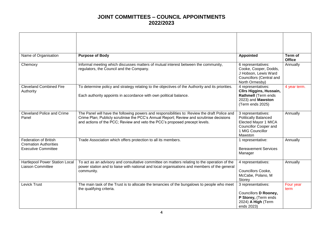| Name of Organisation                                                                       | <b>Purpose of Body</b>                                                                                                                                                                                                                                                  | <b>Appointed</b>                                                                                                                  | Term of<br><b>Office</b> |
|--------------------------------------------------------------------------------------------|-------------------------------------------------------------------------------------------------------------------------------------------------------------------------------------------------------------------------------------------------------------------------|-----------------------------------------------------------------------------------------------------------------------------------|--------------------------|
| Chemoxy                                                                                    | Informal meeting which discusses matters of mutual interest between the community,<br>regulators, the Council and the Company.                                                                                                                                          | 6 representatives:<br>Cooke, Cooper, Dodds,<br>J Hobson, Lewis Ward<br>Councillors (Central and<br>North Ormesby)                 | Annually                 |
| <b>Cleveland Combined Fire</b><br>Authority                                                | To determine policy and strategy relating to the objectives of the Authority and its priorities.<br>Each authority appoints in accordance with own political balance.                                                                                                   | 4 representatives:<br><b>Cllrs Higgins, Hussain,</b><br>Rathmell (Term ends<br>2023) and Mawston<br>(Term ends 2025)              | 4 year term.             |
| <b>Cleveland Police and Crime</b><br>Panel                                                 | The Panel will have the following powers and responsibilities to: Review the draft Police and<br>Crime Plan; Publicly scrutinise the PCC's Annual Report; Review and scrutinise decisions<br>and actions of the PCC; Review and veto the PCC's proposed precept levels. | 3 representatives:<br><b>Politically Balanced</b><br>Elected Mayor 1 MICA<br>Councillor Cooper and<br>1 MIG Councillor<br>Mawston | Annually                 |
| <b>Federation of British</b><br><b>Cremation Authorities</b><br><b>Executive Committee</b> | Trade Association which offers protection to all its members.                                                                                                                                                                                                           | 1 representative:<br><b>Bereavement Services</b><br>Manager                                                                       | Annually                 |
| Hartlepool Power Station Local<br>Liaison Committee                                        | To act as an advisory and consultative committee on matters relating to the operation of the<br>power station and to liaise with national and local organisations and members of the general<br>community.                                                              | 4 representatives:<br><b>Councillors Cooke,</b><br>McCabe, Polano, M<br>Storey                                                    | Annually                 |
| Levick Trust                                                                               | The main task of the Trust is to allocate the tenancies of the bungalows to people who meet<br>the qualifying criteria.                                                                                                                                                 | 3 representatives:<br>Councillors D Rooney,<br>P Storey, (Term ends<br>2024) A High (Term<br>ends 2023)                           | Four year<br>term        |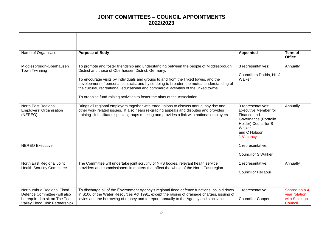| Name of Organisation                                                                                                           | <b>Purpose of Body</b>                                                                                                                                                                                                                                                                                                                                                                                                                                                                                   | <b>Appointed</b>                                                                                                                                         | Term of<br><b>Office</b>                                   |
|--------------------------------------------------------------------------------------------------------------------------------|----------------------------------------------------------------------------------------------------------------------------------------------------------------------------------------------------------------------------------------------------------------------------------------------------------------------------------------------------------------------------------------------------------------------------------------------------------------------------------------------------------|----------------------------------------------------------------------------------------------------------------------------------------------------------|------------------------------------------------------------|
| Middlesbrough-Oberhausen<br>Town Twinning                                                                                      | To promote and foster friendship and understanding between the people of Middlesbrough<br>District and those of Oberhausen District, Germany.<br>To encourage visits by individuals and groups to and from the linked towns, and the<br>development of personal contacts, and by so doing to broaden the mutual understanding of<br>the cultural, recreational, educational and commercial activities of the linked towns.<br>To organise fund-raising activities to foster the aims of the Association. | 3 representatives:<br>Councillors Dodds, Hill J<br>Walker                                                                                                | Annually                                                   |
| North East Regional<br>Employers' Organisation<br>(NEREO)                                                                      | Brings all regional employers together with trade unions to discuss annual pay rise and<br>other work related issues. It also hears re-grading appeals and disputes and provides<br>training. It facilitates special groups meeting and provides a link with national employers.                                                                                                                                                                                                                         | 3 representatives:<br><b>Executive Member for</b><br>Finance and<br>Governance (Portfolio<br>Holder) Councillor S<br>Walker<br>and C Hobson<br>1 Vacancy | Annually                                                   |
| <b>NEREO Executive</b>                                                                                                         |                                                                                                                                                                                                                                                                                                                                                                                                                                                                                                          | 1 representative:<br><b>Councillor S Walker</b>                                                                                                          |                                                            |
| North East Regional Joint<br><b>Health Scrutiny Committee</b>                                                                  | The Committee will undertake joint scrutiny of NHS bodies, relevant health service<br>providers and commissioners in matters that affect the whole of the North East region.                                                                                                                                                                                                                                                                                                                             | 1 representative:<br><b>Councillor Hellaoui</b>                                                                                                          | Annually                                                   |
| Northumbria Regional Flood<br>Defence Committee (will also<br>be required to sit on The Tees<br>Valley Flood Risk Partnership) | To discharge all of the Environment Agency's regional flood defence functions, as laid down<br>in S106 of the Water Resources Act 1991, except the raising of drainage charges, issuing of<br>levies and the borrowing of money and to report annually to the Agency on its activities.                                                                                                                                                                                                                  | 1 representative:<br><b>Councillor Cooper</b>                                                                                                            | Shared on a 4<br>year rotation<br>with Stockton<br>Council |